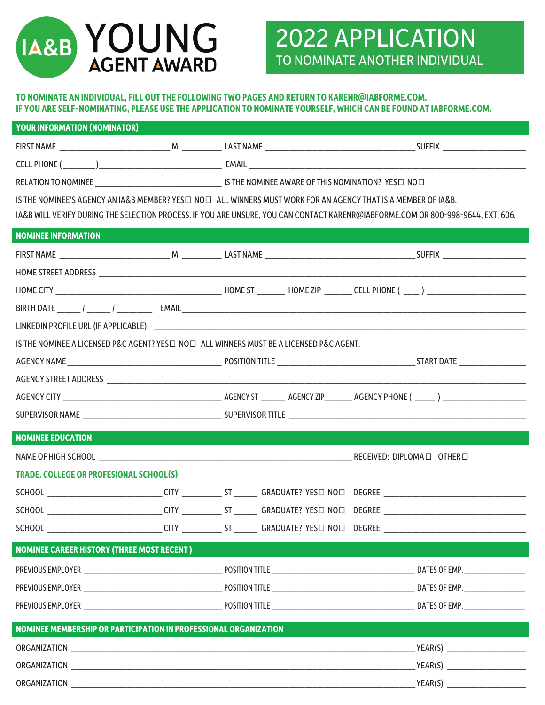

## 2022 APPLICATION TO NOMINATE ANOTHER INDIVIDUAL

## **TO NOMINATE AN INDIVIDUAL, FILL OUT THE FOLLOWING TWO PAGES AND RETURN TO KARENR@IABFORME.COM. IF YOU ARE SELF-NOMINATING, PLEASE USE THE APPLICATION TO NOMINATE YOURSELF, WHICH CAN BE FOUND AT IABFORME.COM.**

| <b>YOUR INFORMATION (NOMINATOR)</b>                                                                                              |  |  |  |  |  |  |  |
|----------------------------------------------------------------------------------------------------------------------------------|--|--|--|--|--|--|--|
|                                                                                                                                  |  |  |  |  |  |  |  |
|                                                                                                                                  |  |  |  |  |  |  |  |
|                                                                                                                                  |  |  |  |  |  |  |  |
| IS THE NOMINEE'S AGENCY AN IA&B MEMBER? YES HOU ALL WINNERS MUST WORK FOR AN AGENCY THAT IS A MEMBER OF IA&B.                    |  |  |  |  |  |  |  |
| IA&B WILL VERIFY DURING THE SELECTION PROCESS. IF YOU ARE UNSURE, YOU CAN CONTACT KARENR@IABFORME.COM OR 800-998-9644, EXT. 606. |  |  |  |  |  |  |  |
| <b>NOMINEE INFORMATION</b>                                                                                                       |  |  |  |  |  |  |  |
|                                                                                                                                  |  |  |  |  |  |  |  |
|                                                                                                                                  |  |  |  |  |  |  |  |
|                                                                                                                                  |  |  |  |  |  |  |  |
|                                                                                                                                  |  |  |  |  |  |  |  |
|                                                                                                                                  |  |  |  |  |  |  |  |
| IS THE NOMINEE A LICENSED P&C AGENT? YES $\Box$ NO $\Box$ ALL WINNERS MUST BE A LICENSED P&C AGENT.                              |  |  |  |  |  |  |  |
|                                                                                                                                  |  |  |  |  |  |  |  |
|                                                                                                                                  |  |  |  |  |  |  |  |
|                                                                                                                                  |  |  |  |  |  |  |  |
|                                                                                                                                  |  |  |  |  |  |  |  |
| <b>NOMINEE EDUCATION</b>                                                                                                         |  |  |  |  |  |  |  |
|                                                                                                                                  |  |  |  |  |  |  |  |
| <b>TRADE, COLLEGE OR PROFESIONAL SCHOOL(S)</b>                                                                                   |  |  |  |  |  |  |  |
|                                                                                                                                  |  |  |  |  |  |  |  |
| SCHOOL _____________________________CITY ______________ST ________ GRADUATE? YES $\square$ NO $\square$ DEGREE                   |  |  |  |  |  |  |  |
|                                                                                                                                  |  |  |  |  |  |  |  |
| <b>NOMINEE CAREER HISTORY (THREE MOST RECENT)</b>                                                                                |  |  |  |  |  |  |  |
|                                                                                                                                  |  |  |  |  |  |  |  |
|                                                                                                                                  |  |  |  |  |  |  |  |
|                                                                                                                                  |  |  |  |  |  |  |  |
| NOMINEE MEMBERSHIP OR PARTICIPATION IN PROFESSIONAL ORGANIZATION                                                                 |  |  |  |  |  |  |  |
|                                                                                                                                  |  |  |  |  |  |  |  |
|                                                                                                                                  |  |  |  |  |  |  |  |
|                                                                                                                                  |  |  |  |  |  |  |  |
|                                                                                                                                  |  |  |  |  |  |  |  |